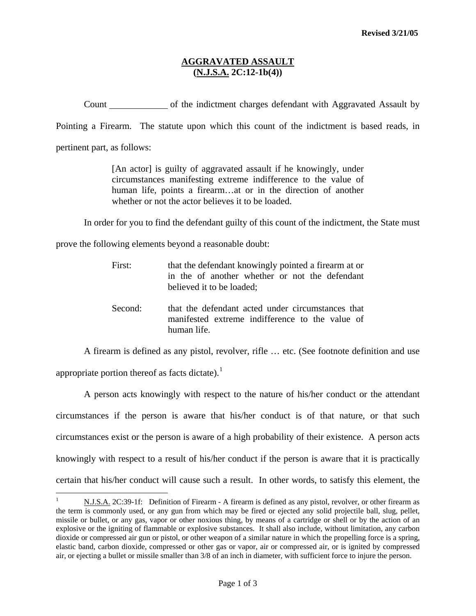## **AGGRAVATED ASSAULT (N.J.S.A. 2C:12-1b(4))**

Count of the indictment charges defendant with Aggravated Assault by

Pointing a Firearm. The statute upon which this count of the indictment is based reads, in

pertinent part, as follows:

[An actor] is guilty of aggravated assault if he knowingly, under circumstances manifesting extreme indifference to the value of human life, points a firearm...at or in the direction of another whether or not the actor believes it to be loaded.

In order for you to find the defendant guilty of this count of the indictment, the State must

prove the following elements beyond a reasonable doubt:

| First:  | that the defendant knowingly pointed a firearm at or<br>in the of another whether or not the defendant<br>believed it to be loaded; |
|---------|-------------------------------------------------------------------------------------------------------------------------------------|
| Second: | that the defendant acted under circumstances that<br>manifested extreme indifference to the value of<br>human life                  |

A firearm is defined as any pistol, revolver, rifle … etc. (See footnote definition and use

appropriate portion thereof as facts dictate).<sup>[1](#page-0-0)</sup>

 $\overline{a}$ 

 A person acts knowingly with respect to the nature of his/her conduct or the attendant circumstances if the person is aware that his/her conduct is of that nature, or that such circumstances exist or the person is aware of a high probability of their existence. A person acts knowingly with respect to a result of his/her conduct if the person is aware that it is practically certain that his/her conduct will cause such a result. In other words, to satisfy this element, the

<span id="page-0-0"></span><sup>1</sup> N.J.S.A. 2C:39-1f: Definition of Firearm - A firearm is defined as any pistol, revolver, or other firearm as the term is commonly used, or any gun from which may be fired or ejected any solid projectile ball, slug, pellet, missile or bullet, or any gas, vapor or other noxious thing, by means of a cartridge or shell or by the action of an explosive or the igniting of flammable or explosive substances. It shall also include, without limitation, any carbon dioxide or compressed air gun or pistol, or other weapon of a similar nature in which the propelling force is a spring, elastic band, carbon dioxide, compressed or other gas or vapor, air or compressed air, or is ignited by compressed air, or ejecting a bullet or missile smaller than 3/8 of an inch in diameter, with sufficient force to injure the person.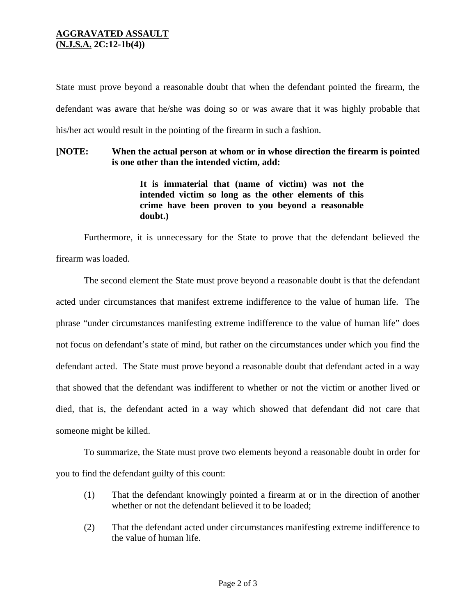## **AGGRAVATED ASSAULT (N.J.S.A. 2C:12-1b(4))**

State must prove beyond a reasonable doubt that when the defendant pointed the firearm, the defendant was aware that he/she was doing so or was aware that it was highly probable that his/her act would result in the pointing of the firearm in such a fashion.

## **[NOTE: When the actual person at whom or in whose direction the firearm is pointed is one other than the intended victim, add:**

**It is immaterial that (name of victim) was not the intended victim so long as the other elements of this crime have been proven to you beyond a reasonable doubt.)** 

Furthermore, it is unnecessary for the State to prove that the defendant believed the firearm was loaded.

 The second element the State must prove beyond a reasonable doubt is that the defendant acted under circumstances that manifest extreme indifference to the value of human life. The phrase "under circumstances manifesting extreme indifference to the value of human life" does not focus on defendant's state of mind, but rather on the circumstances under which you find the defendant acted. The State must prove beyond a reasonable doubt that defendant acted in a way that showed that the defendant was indifferent to whether or not the victim or another lived or died, that is, the defendant acted in a way which showed that defendant did not care that someone might be killed.

 To summarize, the State must prove two elements beyond a reasonable doubt in order for you to find the defendant guilty of this count:

- (1) That the defendant knowingly pointed a firearm at or in the direction of another whether or not the defendant believed it to be loaded;
- (2) That the defendant acted under circumstances manifesting extreme indifference to the value of human life.